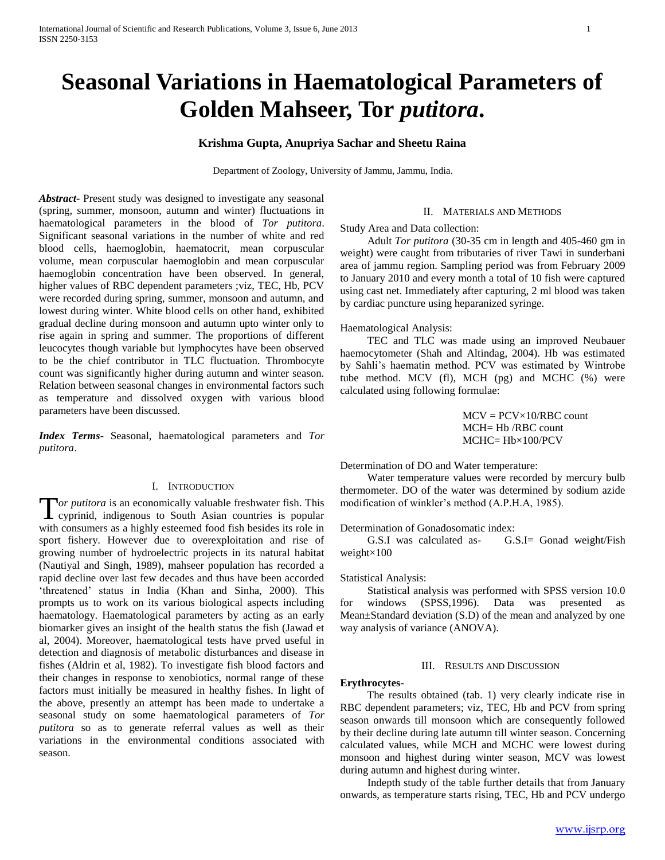# **Seasonal Variations in Haematological Parameters of Golden Mahseer, Tor** *putitora***.**

## **Krishma Gupta, Anupriya Sachar and Sheetu Raina**

Department of Zoology, University of Jammu, Jammu, India.

*Abstract***-** Present study was designed to investigate any seasonal (spring, summer, monsoon, autumn and winter) fluctuations in haematological parameters in the blood of *Tor putitora*. Significant seasonal variations in the number of white and red blood cells, haemoglobin, haematocrit, mean corpuscular volume, mean corpuscular haemoglobin and mean corpuscular haemoglobin concentration have been observed. In general, higher values of RBC dependent parameters ;viz, TEC, Hb, PCV were recorded during spring, summer, monsoon and autumn, and lowest during winter. White blood cells on other hand, exhibited gradual decline during monsoon and autumn upto winter only to rise again in spring and summer. The proportions of different leucocytes though variable but lymphocytes have been observed to be the chief contributor in TLC fluctuation. Thrombocyte count was significantly higher during autumn and winter season. Relation between seasonal changes in environmental factors such as temperature and dissolved oxygen with various blood parameters have been discussed.

*Index Terms*- Seasonal, haematological parameters and *Tor putitora*.

#### I. INTRODUCTION

*or putitora* is an economically valuable freshwater fish. This Tor putitora is an economically valuable freshwater fish. This cyprinid, indigenous to South Asian countries is popular with consumers as a highly esteemed food fish besides its role in sport fishery. However due to overexploitation and rise of growing number of hydroelectric projects in its natural habitat (Nautiyal and Singh, 1989), mahseer population has recorded a rapid decline over last few decades and thus have been accorded 'threatened' status in India (Khan and Sinha, 2000). This prompts us to work on its various biological aspects including haematology. Haematological parameters by acting as an early biomarker gives an insight of the health status the fish (Jawad et al, 2004). Moreover, haematological tests have prved useful in detection and diagnosis of metabolic disturbances and disease in fishes (Aldrin et al, 1982). To investigate fish blood factors and their changes in response to xenobiotics, normal range of these factors must initially be measured in healthy fishes. In light of the above, presently an attempt has been made to undertake a seasonal study on some haematological parameters of *Tor putitora* so as to generate referral values as well as their variations in the environmental conditions associated with season.

#### II. MATERIALS AND METHODS

Study Area and Data collection:

 Adult *Tor putitora* (30-35 cm in length and 405-460 gm in weight) were caught from tributaries of river Tawi in sunderbani area of jammu region. Sampling period was from February 2009 to January 2010 and every month a total of 10 fish were captured using cast net. Immediately after capturing, 2 ml blood was taken by cardiac puncture using heparanized syringe.

### Haematological Analysis:

 TEC and TLC was made using an improved Neubauer haemocytometer (Shah and Altindag, 2004). Hb was estimated by Sahli's haematin method. PCV was estimated by Wintrobe tube method. MCV (fl), MCH (pg) and MCHC (%) were calculated using following formulae:

> $MCV = PCV \times 10/RBC$  count MCH= Hb /RBC count MCHC= Hb×100/PCV

Determination of DO and Water temperature:

 Water temperature values were recorded by mercury bulb thermometer. DO of the water was determined by sodium azide modification of winkler's method (A.P.H.A, 1985).

#### Determination of Gonadosomatic index:

 G.S.I was calculated as- G.S.I= Gonad weight/Fish weight×100

#### Statistical Analysis:

 Statistical analysis was performed with SPSS version 10.0 for windows (SPSS,1996). Data was presented as Mean±Standard deviation (S.D) of the mean and analyzed by one way analysis of variance (ANOVA).

#### III. RESULTS AND DISCUSSION

## **Erythrocytes**-

 The results obtained (tab. 1) very clearly indicate rise in RBC dependent parameters; viz, TEC, Hb and PCV from spring season onwards till monsoon which are consequently followed by their decline during late autumn till winter season. Concerning calculated values, while MCH and MCHC were lowest during monsoon and highest during winter season, MCV was lowest during autumn and highest during winter.

 Indepth study of the table further details that from January onwards, as temperature starts rising, TEC, Hb and PCV undergo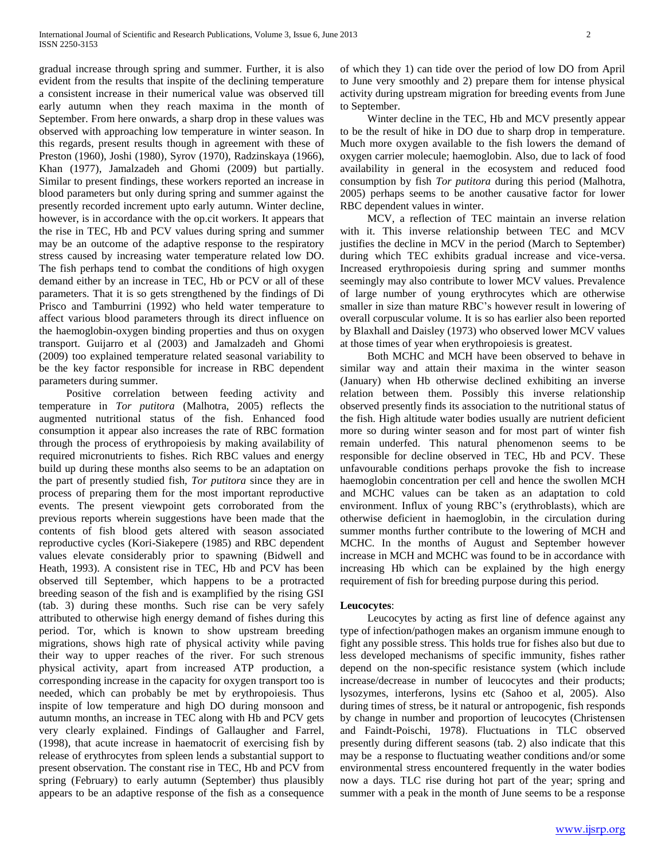gradual increase through spring and summer. Further, it is also evident from the results that inspite of the declining temperature a consistent increase in their numerical value was observed till early autumn when they reach maxima in the month of September. From here onwards, a sharp drop in these values was observed with approaching low temperature in winter season. In this regards, present results though in agreement with these of Preston (1960), Joshi (1980), Syrov (1970), Radzinskaya (1966), Khan (1977), Jamalzadeh and Ghomi (2009) but partially. Similar to present findings, these workers reported an increase in blood parameters but only during spring and summer against the presently recorded increment upto early autumn. Winter decline, however, is in accordance with the op.cit workers. It appears that the rise in TEC, Hb and PCV values during spring and summer may be an outcome of the adaptive response to the respiratory stress caused by increasing water temperature related low DO. The fish perhaps tend to combat the conditions of high oxygen demand either by an increase in TEC, Hb or PCV or all of these parameters. That it is so gets strengthened by the findings of Di Prisco and Tamburrini (1992) who held water temperature to affect various blood parameters through its direct influence on the haemoglobin-oxygen binding properties and thus on oxygen transport. Guijarro et al (2003) and Jamalzadeh and Ghomi (2009) too explained temperature related seasonal variability to be the key factor responsible for increase in RBC dependent parameters during summer.

 Positive correlation between feeding activity and temperature in *Tor putitora* (Malhotra, 2005) reflects the augmented nutritional status of the fish. Enhanced food consumption it appear also increases the rate of RBC formation through the process of erythropoiesis by making availability of required micronutrients to fishes. Rich RBC values and energy build up during these months also seems to be an adaptation on the part of presently studied fish, *Tor putitora* since they are in process of preparing them for the most important reproductive events. The present viewpoint gets corroborated from the previous reports wherein suggestions have been made that the contents of fish blood gets altered with season associated reproductive cycles (Kori-Siakepere (1985) and RBC dependent values elevate considerably prior to spawning (Bidwell and Heath, 1993). A consistent rise in TEC, Hb and PCV has been observed till September, which happens to be a protracted breeding season of the fish and is examplified by the rising GSI (tab. 3) during these months. Such rise can be very safely attributed to otherwise high energy demand of fishes during this period. Tor, which is known to show upstream breeding migrations, shows high rate of physical activity while paving their way to upper reaches of the river. For such strenous physical activity, apart from increased ATP production, a corresponding increase in the capacity for oxygen transport too is needed, which can probably be met by erythropoiesis. Thus inspite of low temperature and high DO during monsoon and autumn months, an increase in TEC along with Hb and PCV gets very clearly explained. Findings of Gallaugher and Farrel, (1998), that acute increase in haematocrit of exercising fish by release of erythrocytes from spleen lends a substantial support to present observation. The constant rise in TEC, Hb and PCV from spring (February) to early autumn (September) thus plausibly appears to be an adaptive response of the fish as a consequence of which they 1) can tide over the period of low DO from April to June very smoothly and 2) prepare them for intense physical activity during upstream migration for breeding events from June to September.

 Winter decline in the TEC, Hb and MCV presently appear to be the result of hike in DO due to sharp drop in temperature. Much more oxygen available to the fish lowers the demand of oxygen carrier molecule; haemoglobin. Also, due to lack of food availability in general in the ecosystem and reduced food consumption by fish *Tor putitora* during this period (Malhotra, 2005) perhaps seems to be another causative factor for lower RBC dependent values in winter.

 MCV, a reflection of TEC maintain an inverse relation with it. This inverse relationship between TEC and MCV justifies the decline in MCV in the period (March to September) during which TEC exhibits gradual increase and vice-versa. Increased erythropoiesis during spring and summer months seemingly may also contribute to lower MCV values. Prevalence of large number of young erythrocytes which are otherwise smaller in size than mature RBC's however result in lowering of overall corpuscular volume. It is so has earlier also been reported by Blaxhall and Daisley (1973) who observed lower MCV values at those times of year when erythropoiesis is greatest.

 Both MCHC and MCH have been observed to behave in similar way and attain their maxima in the winter season (January) when Hb otherwise declined exhibiting an inverse relation between them. Possibly this inverse relationship observed presently finds its association to the nutritional status of the fish. High altitude water bodies usually are nutrient deficient more so during winter season and for most part of winter fish remain underfed. This natural phenomenon seems to be responsible for decline observed in TEC, Hb and PCV. These unfavourable conditions perhaps provoke the fish to increase haemoglobin concentration per cell and hence the swollen MCH and MCHC values can be taken as an adaptation to cold environment. Influx of young RBC's (erythroblasts), which are otherwise deficient in haemoglobin, in the circulation during summer months further contribute to the lowering of MCH and MCHC. In the months of August and September however increase in MCH and MCHC was found to be in accordance with increasing Hb which can be explained by the high energy requirement of fish for breeding purpose during this period.

### **Leucocytes**:

 Leucocytes by acting as first line of defence against any type of infection/pathogen makes an organism immune enough to fight any possible stress. This holds true for fishes also but due to less developed mechanisms of specific immunity, fishes rather depend on the non-specific resistance system (which include increase/decrease in number of leucocytes and their products; lysozymes, interferons, lysins etc (Sahoo et al, 2005). Also during times of stress, be it natural or antropogenic, fish responds by change in number and proportion of leucocytes (Christensen and Faindt-Poischi, 1978). Fluctuations in TLC observed presently during different seasons (tab. 2) also indicate that this may be a response to fluctuating weather conditions and/or some environmental stress encountered frequently in the water bodies now a days. TLC rise during hot part of the year; spring and summer with a peak in the month of June seems to be a response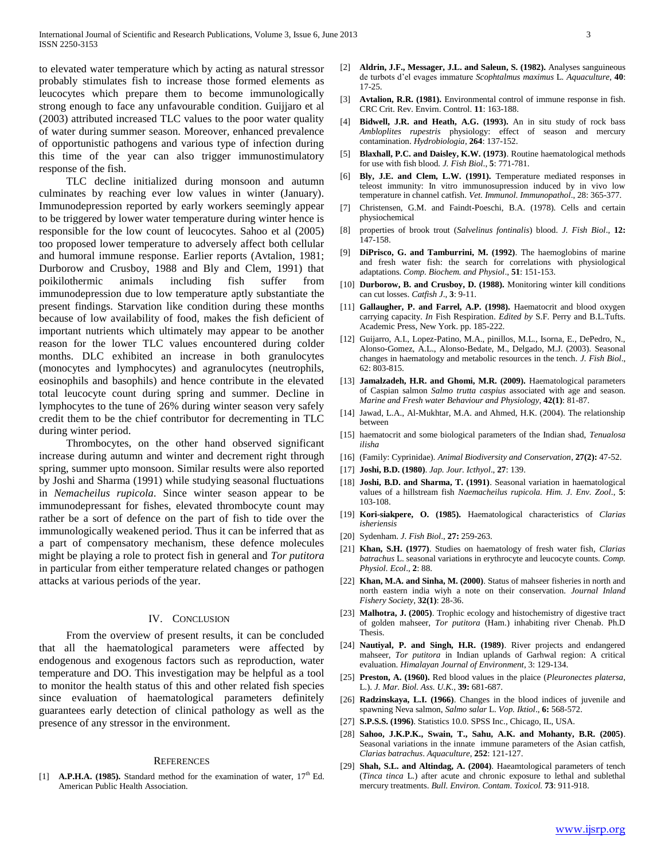to elevated water temperature which by acting as natural stressor probably stimulates fish to increase those formed elements as leucocytes which prepare them to become immunologically strong enough to face any unfavourable condition. Guijjaro et al (2003) attributed increased TLC values to the poor water quality of water during summer season. Moreover, enhanced prevalence of opportunistic pathogens and various type of infection during this time of the year can also trigger immunostimulatory response of the fish.

 TLC decline initialized during monsoon and autumn culminates by reaching ever low values in winter (January). Immunodepression reported by early workers seemingly appear to be triggered by lower water temperature during winter hence is responsible for the low count of leucocytes. Sahoo et al (2005) too proposed lower temperature to adversely affect both cellular and humoral immune response. Earlier reports (Avtalion, 1981; Durborow and Crusboy, 1988 and Bly and Clem, 1991) that poikilothermic animals including fish suffer from immunodepression due to low temperature aptly substantiate the present findings. Starvation like condition during these months because of low availability of food, makes the fish deficient of important nutrients which ultimately may appear to be another reason for the lower TLC values encountered during colder months. DLC exhibited an increase in both granulocytes (monocytes and lymphocytes) and agranulocytes (neutrophils, eosinophils and basophils) and hence contribute in the elevated total leucocyte count during spring and summer. Decline in lymphocytes to the tune of 26% during winter season very safely credit them to be the chief contributor for decrementing in TLC during winter period.

 Thrombocytes, on the other hand observed significant increase during autumn and winter and decrement right through spring, summer upto monsoon. Similar results were also reported by Joshi and Sharma (1991) while studying seasonal fluctuations in *Nemacheilus rupicola*. Since winter season appear to be immunodepressant for fishes, elevated thrombocyte count may rather be a sort of defence on the part of fish to tide over the immunologically weakened period. Thus it can be inferred that as a part of compensatory mechanism, these defence molecules might be playing a role to protect fish in general and *Tor putitora* in particular from either temperature related changes or pathogen attacks at various periods of the year.

#### IV. CONCLUSION

 From the overview of present results, it can be concluded that all the haematological parameters were affected by endogenous and exogenous factors such as reproduction, water temperature and DO. This investigation may be helpful as a tool to monitor the health status of this and other related fish species since evaluation of haematological parameters definitely guarantees early detection of clinical pathology as well as the presence of any stressor in the environment.

#### **REFERENCES**

**A.P.H.A. (1985).** Standard method for the examination of water,  $17<sup>th</sup>$  Ed. American Public Health Association.

- [2] **Aldrin, J.F., Messager, J.L. and Saleun, S. (1982).** Analyses sanguineous de turbots d'el evages immature *Scophtalmus maximus* L. *Aquaculture*, **40**: 17-25.
- [3] **Avtalion, R.R. (1981).** Environmental control of immune response in fish. CRC Crit. Rev. Envirn. Control. **11**: 163-188.
- [4] **Bidwell, J.R. and Heath, A.G. (1993).** An in situ study of rock bass *Ambloplites rupestris* physiology: effect of season and mercury contamination. *Hydrobiologia*, **264**: 137-152.
- [5] **Blaxhall, P.C. and Daisley, K.W. (1973)**. Routine haematological methods for use with fish blood*. J. Fish Biol*., **5**: 771-781.
- [6] **Bly, J.E. and Clem, L.W. (1991).** Temperature mediated responses in teleost immunity: In vitro immunosupression induced by in vivo low temperature in channel catfish. *Vet. Immunol*. *Immunopathol*., 28: 365-377.
- [7] Christensen, G.M. and Faindt-Poeschi, B.A. (1978). Cells and certain physiochemical
- [8] properties of brook trout (*Salvelinus fontinalis*) blood. *J. Fish Biol*., **12:**  147-158.
- [9] **DiPrisco, G. and Tamburrini, M. (1992)**. The haemoglobins of marine and fresh water fish: the search for correlations with physiological adaptations. *Comp. Biochem. and Physiol*., **51**: 151-153.
- [10] **Durborow, B. and Crusboy, D. (1988).** Monitoring winter kill conditions can cut losses. *Catfi*s*h J*., **3**: 9-11.
- [11] **Gallaugher, P. and Farrel, A.P. (1998).** Haematocrit and blood oxygen carrying capacity. *In* Fish Respiration. *Edited by* S.F. Perry and B.L.Tufts. Academic Press, New York. pp. 185-222.
- [12] Guijarro, A.I., Lopez-Patino, M.A., pinillos, M.L., Isorna, E., DePedro, N., Alonso-Gomez, A.L., Alonso-Bedate, M., Delgado, M.J. (2003). Seasonal changes in haematology and metabolic resources in the tench*. J. Fish Biol*., 62: 803-815.
- [13] **Jamalzadeh, H.R. and Ghomi, M.R. (2009).** Haematological parameters of Caspian salmon *Salmo trutta caspius* associated with age and season. *Marine and Fresh water Behaviour and Physiology,* **42(1)**: 81-87.
- [14] Jawad, L.A., Al-Mukhtar, M.A. and Ahmed, H.K. (2004). The relationship between
- [15] haematocrit and some biological parameters of the Indian shad, *Tenualosa ilisha*
- [16] (Family: Cyprinidae). *Animal Biodiversity and Conservation*, **27(2):** 47-52.
- [17] **Joshi, B.D. (1980)**. *Jap. Jour. Icthyol*., **27**: 139.
- [18] **Joshi, B.D. and Sharma, T. (1991)**. Seasonal variation in haematological values of a hillstream fish *Naemacheilus rupicola. Him. J. Env. Zool*., **5**: 103-108.
- [19] **Kori-siakpere, O. (1985).** Haematological characteristics of *Clarias isheriensis*
- [20] Sydenham. *J. Fish Biol*., **27:** 259-263.
- [21] **Khan, S.H. (1977)**. Studies on haematology of fresh water fish, *Clarias batrachus* L. seasonal variations in erythrocyte and leucocyte counts. *Comp. Physiol. Ecol*., **2**: 88.
- [22] **Khan, M.A. and Sinha, M. (2000)**. Status of mahseer fisheries in north and north eastern india wiyh a note on their conservation. *Journal Inland Fishery Society*, **32(1)**: 28-36.
- [23] **Malhotra, J. (2005)**. Trophic ecology and histochemistry of digestive tract of golden mahseer, *Tor putitora* (Ham.) inhabiting river Chenab. Ph.D Thesis.
- [24] **Nautiyal, P. and Singh, H.R. (1989)**. River projects and endangered mahseer, *Tor putitora* in Indian uplands of Garhwal region: A critical evaluation. *Himalayan Journal of Environment*, 3: 129-134.
- [25] **Preston, A. (1960).** Red blood values in the plaice (*Pleuronectes platersa*, L.). *J. Mar. Biol. Ass. U.K*., **39:** 681-687.
- [26] **Radzinskaya, L.I. (1966)**. Changes in the blood indices of juvenile and spawning Neva salmon, *Salmo salar* L. *Vop. Iktiol*., **6:** 568-572.
- [27] **S.P.S.S. (1996)**. Statistics 10.0. SPSS Inc., Chicago, IL, USA.
- [28] **Sahoo, J.K.P.K., Swain, T., Sahu, A.K. and Mohanty, B.R. (2005)**. Seasonal variations in the innate immune parameters of the Asian catfish, *Clarias batrachus*. *Aquaculture*, **252**: 121-127.
- [29] **Shah, S.L. and Altindag, A. (2004)**. Haeamtological parameters of tench (*Tinca tinca* L.) after acute and chronic exposure to lethal and sublethal mercury treatments. *Bull. Environ. Contam*. *Toxicol.* **73**: 911-918.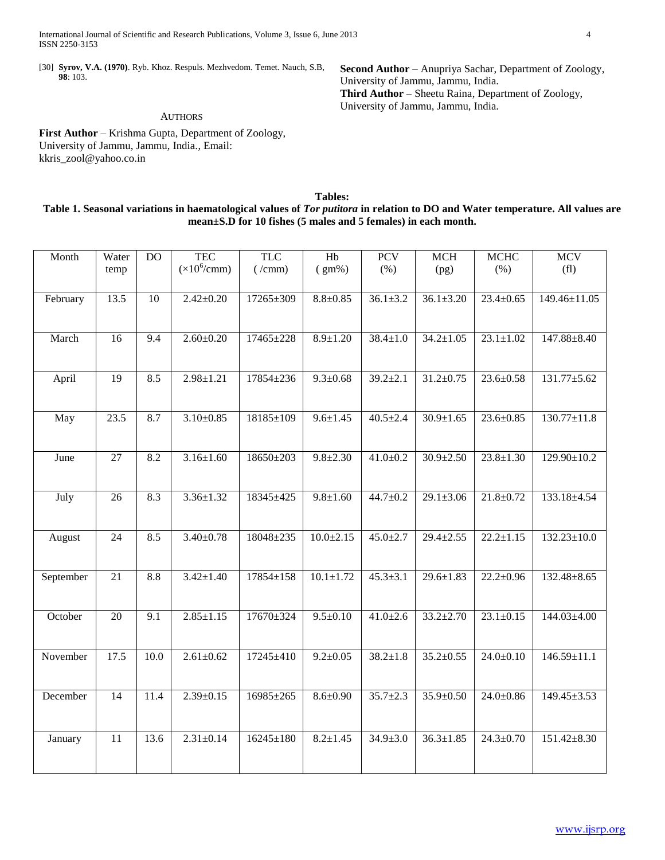[30] **Syrov, V.A. (1970)**. Ryb. Khoz. Respuls. Mezhvedom. Temet. Nauch, S.B, **98**: 103.

**Second Author** – Anupriya Sachar, Department of Zoology, University of Jammu, Jammu, India. **Third Author** – Sheetu Raina, Department of Zoology, University of Jammu, Jammu, India.

## AUTHORS

**First Author** – Krishma Gupta, Department of Zoology, University of Jammu, Jammu, India., Email: kkris\_zool@yahoo.co.in

# **Tables: Table 1. Seasonal variations in haematological values of** *Tor putitora* **in relation to DO and Water temperature. All values are mean±S.D for 10 fishes (5 males and 5 females) in each month.**

| Month     | Water<br>temp   | $\overline{D}O$   | <b>TEC</b><br>$(\times 10^6/\text{cmm})$ | <b>TLC</b><br>$( / \text{cmm})$ | Hb<br>$(gm\%)$  | <b>PCV</b><br>(% ) | <b>MCH</b><br>(pg) | $\overline{\text{MCHC}}$<br>(% ) | <b>MCV</b><br>(f <sub>1</sub> ) |
|-----------|-----------------|-------------------|------------------------------------------|---------------------------------|-----------------|--------------------|--------------------|----------------------------------|---------------------------------|
|           |                 |                   |                                          |                                 |                 |                    |                    |                                  |                                 |
| February  | 13.5            | 10                | $2.42 \pm 0.20$                          | 17265±309                       | $8.8 \pm 0.85$  | $36.1 \pm 3.2$     | $36.1 \pm 3.20$    | $23.4 \pm 0.65$                  | 149.46±11.05                    |
|           |                 |                   |                                          |                                 |                 |                    |                    |                                  |                                 |
| March     | 16              | 9.4               | $2.60 \pm 0.20$                          | 17465±228                       | $8.9 \pm 1.20$  | $38.4 \pm 1.0$     | $34.2 \pm 1.05$    | $23.1 \pm 1.02$                  | 147.88±8.40                     |
|           |                 |                   |                                          |                                 |                 |                    |                    |                                  |                                 |
| April     | 19              | 8.5               | $2.98 \pm 1.21$                          | 17854±236                       | $9.3 \pm 0.68$  | $39.2 \pm 2.1$     | $31.2 \pm 0.75$    | $23.6 \pm 0.58$                  | $131.77 \pm 5.62$               |
|           |                 |                   |                                          |                                 |                 |                    |                    |                                  |                                 |
| May       | 23.5            | 8.7               | $3.10 \pm 0.85$                          | 18185±109                       | $9.6 \pm 1.45$  | $40.5 \pm 2.4$     | $30.9 \pm 1.65$    | $23.6 \pm 0.85$                  | $130.77 \pm 11.8$               |
|           |                 |                   |                                          |                                 |                 |                    |                    |                                  |                                 |
| June      | 27              | 8.2               | $3.16 \pm 1.60$                          | 18650±203                       | $9.8 \pm 2.30$  | $41.0 \pm 0.2$     | $30.9 \pm 2.50$    | $23.8 \pm 1.30$                  | 129.90±10.2                     |
|           |                 |                   |                                          |                                 |                 |                    |                    |                                  |                                 |
| July      | 26              | 8.3               | $3.36 \pm 1.32$                          | 18345±425                       | $9.8 \pm 1.60$  | $44.7 \pm 0.2$     | $29.1 \pm 3.06$    | $21.8 \pm 0.72$                  | 133.18±4.54                     |
|           |                 |                   |                                          |                                 |                 |                    |                    |                                  |                                 |
| August    | 24              | 8.5               | $3.40 \pm 0.78$                          | $18048 + 235$                   | $10.0 \pm 2.15$ | $45.0 \pm 2.7$     | $29.4 \pm 2.55$    | $22.2 \pm 1.15$                  | $132.23 \pm 10.0$               |
|           |                 |                   |                                          |                                 |                 |                    |                    |                                  |                                 |
| September | 21              | $\overline{8.8}$  | $3.42 \pm 1.40$                          | $17854 \pm 158$                 | $10.1 + 1.72$   | $45.3 \pm 3.1$     | $29.6 \pm 1.83$    | $22.2 \pm 0.96$                  | 132.48±8.65                     |
|           |                 |                   |                                          |                                 |                 |                    |                    |                                  |                                 |
| October   | 20              | 9.1               | $2.85 \pm 1.15$                          | 17670±324                       | $9.5 \pm 0.10$  | $41.0 \pm 2.6$     | $33.2 \pm 2.70$    | $23.1 \pm 0.15$                  | $144.03 \pm 4.00$               |
|           |                 |                   |                                          |                                 |                 |                    |                    |                                  |                                 |
| November  | 17.5            | 10.0              | $2.61 \pm 0.62$                          | 17245±410                       | $9.2 \pm 0.05$  | $38.2 \pm 1.8$     | $35.2 \pm 0.55$    | $24.0 \pm 0.10$                  | $146.59 \pm 11.1$               |
|           |                 |                   |                                          |                                 |                 |                    |                    |                                  |                                 |
| December  | $\overline{14}$ | $\overline{1}1.4$ | $2.39 \pm 0.15$                          | 16985±265                       | $8.6 \pm 0.90$  | $35.7 \pm 2.3$     | 35.9±0.50          | $24.0 \pm 0.86$                  | $149.45 \pm 3.53$               |
|           |                 |                   |                                          |                                 |                 |                    |                    |                                  |                                 |
| January   | 11              | 13.6              | $2.31 \pm 0.14$                          | 16245±180                       | $8.2 \pm 1.45$  | $34.9 \pm 3.0$     | $36.3 \pm 1.85$    | $24.3 \pm 0.70$                  | $151.42 \pm 8.30$               |
|           |                 |                   |                                          |                                 |                 |                    |                    |                                  |                                 |
|           |                 |                   |                                          |                                 |                 |                    |                    |                                  |                                 |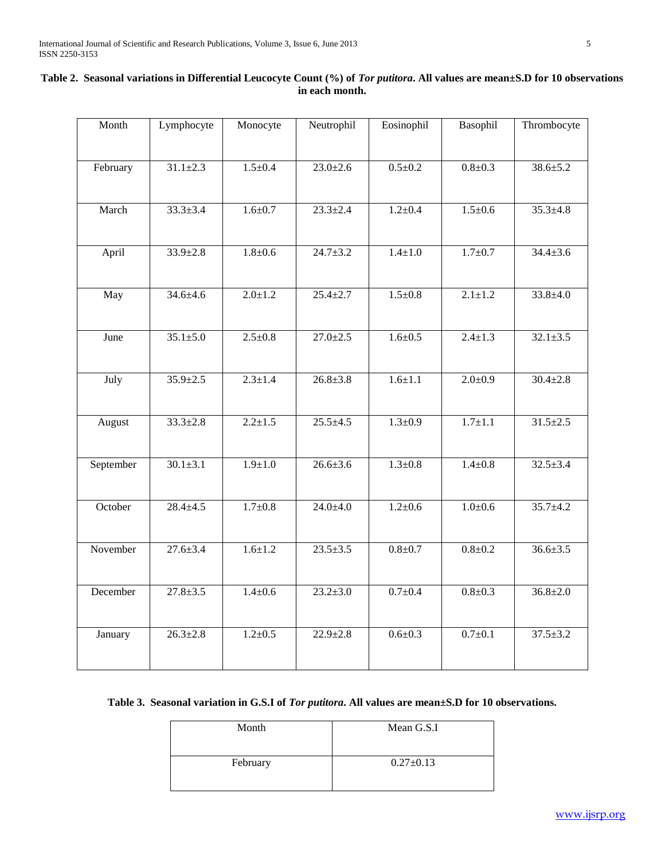| Month     | Lymphocyte     | Monocyte      | Neutrophil     | Eosinophil    | Basophil      | Thrombocyte    |
|-----------|----------------|---------------|----------------|---------------|---------------|----------------|
|           |                |               |                |               |               |                |
| February  | $31.1 \pm 2.3$ | $1.5 \pm 0.4$ | $23.0 \pm 2.6$ | $0.5 \pm 0.2$ | $0.8 + 0.3$   | $38.6 \pm 5.2$ |
|           |                |               |                |               |               |                |
|           |                |               |                |               |               |                |
| March     | $33.3 \pm 3.4$ | $1.6 \pm 0.7$ | $23.3 \pm 2.4$ | $1.2 \pm 0.4$ | $1.5 \pm 0.6$ | $35.3 \pm 4.8$ |
|           |                |               |                |               |               |                |
| April     | $33.9 \pm 2.8$ | $1.8 + 0.6$   | $24.7 + 3.2$   | $1.4 \pm 1.0$ | $1.7 \pm 0.7$ | $34.4 \pm 3.6$ |
|           |                |               |                |               |               |                |
|           |                |               |                |               |               |                |
| May       | $34.6 \pm 4.6$ | $2.0 \pm 1.2$ | $25.4 \pm 2.7$ | $1.5 \pm 0.8$ | $2.1 \pm 1.2$ | $33.8 \pm 4.0$ |
|           |                |               |                |               |               |                |
| June      | $35.1 \pm 5.0$ | $2.5 \pm 0.8$ | $27.0 \pm 2.5$ | $1.6 \pm 0.5$ | $2.4 \pm 1.3$ | $32.1 \pm 3.5$ |
|           |                |               |                |               |               |                |
| July      | $35.9 \pm 2.5$ | $2.3 \pm 1.4$ | $26.8 \pm 3.8$ | $1.6 \pm 1.1$ | $2.0 \pm 0.9$ | $30.4 \pm 2.8$ |
|           |                |               |                |               |               |                |
|           |                |               |                |               |               |                |
| August    | $33.3 \pm 2.8$ | $2.2 \pm 1.5$ | $25.5 \pm 4.5$ | $1.3 \pm 0.9$ | $1.7 \pm 1.1$ | $31.5 \pm 2.5$ |
|           |                |               |                |               |               |                |
| September | $30.1 \pm 3.1$ | $1.9 \pm 1.0$ | $26.6 \pm 3.6$ | $1.3 \pm 0.8$ | $1.4 \pm 0.8$ | $32.5 \pm 3.4$ |
|           |                |               |                |               |               |                |
|           |                |               |                |               |               |                |
| October   | $28.4 \pm 4.5$ | $1.7 \pm 0.8$ | $24.0 \pm 4.0$ | $1.2 \pm 0.6$ | $1.0 \pm 0.6$ | $35.7 \pm 4.2$ |
|           |                |               |                |               |               |                |
| November  | $27.6 \pm 3.4$ | $1.6 \pm 1.2$ | $23.5 \pm 3.5$ | $0.8 + 0.7$   | $0.8 + 0.2$   | $36.6 \pm 3.5$ |
|           |                |               |                |               |               |                |
| December  | $27.8 + 3.5$   | $1.4 + 0.6$   | $23.2 \pm 3.0$ | $0.7 + 0.4$   | $0.8 + 0.3$   | $36.8 \pm 2.0$ |
|           |                |               |                |               |               |                |
|           |                |               |                |               |               |                |
| January   | $26.3 \pm 2.8$ | $1.2 \pm 0.5$ | $22.9 \pm 2.8$ | $0.6 \pm 0.3$ | $0.7 \pm 0.1$ | $37.5 \pm 3.2$ |
|           |                |               |                |               |               |                |
|           |                |               |                |               |               |                |

# **Table 2. Seasonal variations in Differential Leucocyte Count (%) of** *Tor putitora***. All values are mean±S.D for 10 observations in each month.**

# **Table 3. Seasonal variation in G.S.I of** *Tor putitora***. All values are mean±S.D for 10 observations.**

| Month    | Mean G.S.I      |
|----------|-----------------|
| February | $0.27 \pm 0.13$ |